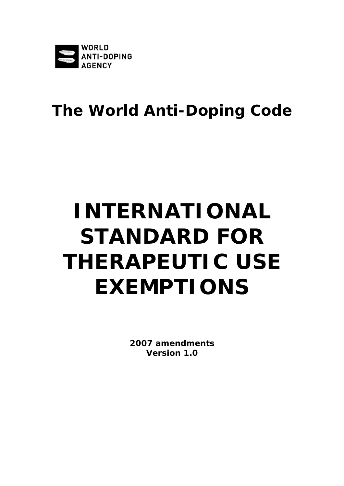

# **The World Anti-Doping Code**

# **INTERNATIONAL STANDARD FOR THERAPEUTIC USE EXEMPTIONS**

**2007 amendments Version 1.0**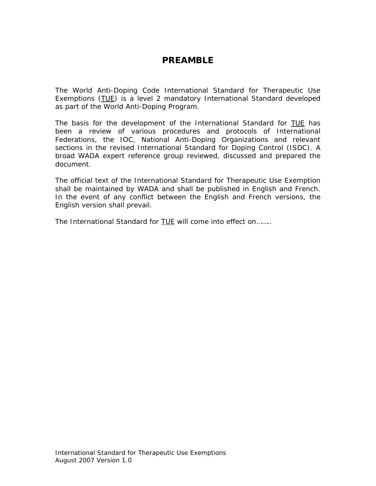# **PREAMBLE**

The World Anti-Doping Code *International Standard* for Therapeutic Use Exemptions (TUE) is a level 2 mandatory *International Standard* developed as part of the World Anti-Doping Program.

The basis for the development of the *International Standard* for TUE has been a review of various procedures and protocols of International Federations, the IOC, National Anti-Doping Organizations and relevant sections in the revised International Standard for Doping Control (ISDC). A broad WADA expert reference group reviewed, discussed and prepared the document.

The official text of the *International Standard* for Therapeutic Use Exemption shall be maintained by WADA and shall be published in English and French. In the event of any conflict between the English and French versions, the English version shall prevail.

The *International Standard* for **TUE** will come into effect on........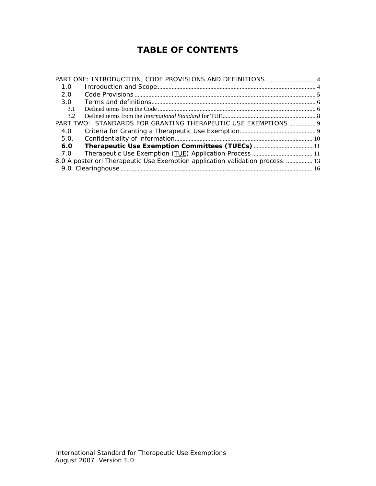# **TABLE OF CONTENTS**

| 1.0                                                                            |                                                                |  |
|--------------------------------------------------------------------------------|----------------------------------------------------------------|--|
| 2.0                                                                            |                                                                |  |
| 3.O                                                                            |                                                                |  |
| 3.1                                                                            |                                                                |  |
| 3.2                                                                            |                                                                |  |
|                                                                                | PART TWO: STANDARDS FOR GRANTING THERAPEUTIC USE EXEMPTIONS  9 |  |
| 4.0                                                                            |                                                                |  |
| 5.0.                                                                           |                                                                |  |
| 6.0                                                                            |                                                                |  |
| 7.0                                                                            |                                                                |  |
| 8.0 A posteriori Therapeutic Use Exemption application validation process:  13 |                                                                |  |
|                                                                                |                                                                |  |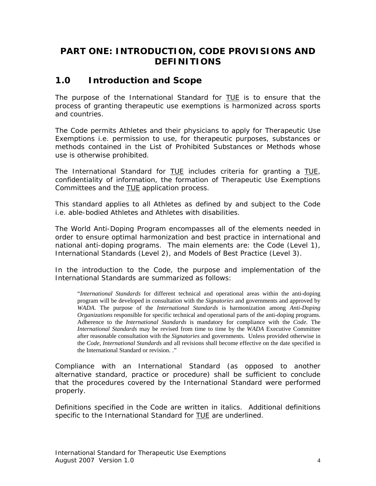# <span id="page-3-0"></span>**PART ONE: INTRODUCTION, CODE PROVISIONS AND DEFINITIONS**

## **1.0 Introduction and Scope**

The purpose of the *International Standard* for TUE is to ensure that the process of granting therapeutic use exemptions is harmonized across sports and countries.

The *Code* permits *Athletes* and their physicians to apply for Therapeutic Use Exemptions i.e. permission to use, for therapeutic purposes, substances or methods contained in the *List of Prohibited Substances or Methods* whose use is otherwise prohibited.

The *International Standard* for TUE includes criteria for granting a TUE, confidentiality of information, the formation of Therapeutic Use Exemptions Committees and the **TUE** application process.

This standard applies to all *Athletes* as defined by and subject to the *Code* i.e. able-bodied *Athletes* and *Athletes* with disabilities.

The World Anti-Doping Program encompasses all of the elements needed in order to ensure optimal harmonization and best practice in international and national anti-doping programs. The main elements are: the *Code* (Level 1), *International Standards* (Level 2), and Models of Best Practice (Level 3).

In the introduction to the *Code*, the purpose and implementation of the *International Standards* are summarized as follows:

"*International Standards* for different technical and operational areas within the anti-doping program will be developed in consultation with the *Signatories* and governments and approved by *WADA*. The purpose of the *International Standards* is harmonization among *Anti-Doping Organizations* responsible for specific technical and operational parts of the anti-doping programs. Adherence to the *International Standards* is mandatory for compliance with the *Code*. The *International Standards* may be revised from time to time by the *WADA* Executive Committee after reasonable consultation with the *Signatories* and governments. Unless provided otherwise in the *Code*, *International Standards* and all revisions shall become effective on the date specified in the International Standard or revision. ."

Compliance with an *International Standard* (as opposed to another alternative standard, practice or procedure) shall be sufficient to conclude that the procedures covered by the *International Standard* were performed properly.

Definitions specified in the *Code* are written in italics. Additional definitions specific to the *International Standard* for TUE are underlined.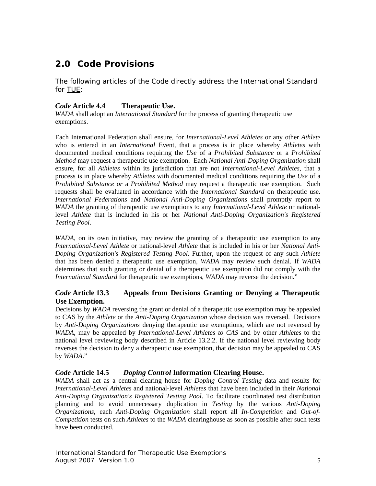# <span id="page-4-0"></span>**2.0** *Code* **Provisions**

The following articles of the *Code* directly address the *International Standard*  for TUE:

#### *Code* **Article 4.4 Therapeutic Use.**

*WADA* shall adopt an *International Standard* for the process of granting therapeutic use exemptions.

Each International Federation shall ensure, for *International-Level Athletes* or any other *Athlete*  who is entered in an *International* Event, that a process is in place whereby *Athletes* with documented medical conditions requiring the *Use* of a *Prohibited Substance* or a *Prohibited Method* may request a therapeutic use exemption. Each *National Anti-Doping Organization* shall ensure, for all *Athletes* within its jurisdiction that are not *International-Level Athletes*, that a process is in place whereby *Athletes* with documented medical conditions requiring the *Use* of a *Prohibited Substance or* a *Prohibited Method* may request a therapeutic use exemption. Such requests shall be evaluated in accordance with the *International Standard* on therapeutic use. *International Federations* and *National Anti-Doping Organizations* shall promptly report to *WADA* the granting of therapeutic use exemptions to any *International-Level Athlete* or nationallevel *Athlete* that is included in his or her *National Anti-Doping Organization's Registered Testing Pool*.

*WADA*, on its own initiative, may review the granting of a therapeutic use exemption to any *International-Level Athlete* or national-level *Athlete* that is included in his or her *National Anti-Doping Organization's Registered Testing Pool*. Further, upon the request of any such *Athlete* that has been denied a therapeutic use exemption, *WADA* may review such denial. If *WADA* determines that such granting or denial of a therapeutic use exemption did not comply with the *International Standard* for therapeutic use exemptions, *WADA* may reverse the decision."

#### *Code* **Article 13.3 Appeals from Decisions Granting or Denying a Therapeutic Use Exemption.**

Decisions by *WADA* reversing the grant or denial of a therapeutic use exemption may be appealed to CAS by the *Athlete* or the *Anti-Doping Organization* whose decision was reversed. Decisions by *Anti-Doping Organizations* denying therapeutic use exemptions, which are not reversed by *WADA*, may be appealed by *International-Level Athletes to CAS* and by other *Athletes* to the national level reviewing body described in Article 13.2.2. If the national level reviewing body reverses the decision to deny a therapeutic use exemption, that decision may be appealed to CAS by *WADA*."

#### *Code* **Article 14.5** *Doping Control* **Information Clearing House.**

*WADA* shall act as a central clearing house for *Doping Control Testing* data and results for *International-Level Athletes* and national-level *Athletes* that have been included in their *National Anti-Doping Organization's Registered Testing Pool*. To facilitate coordinated test distribution planning and to avoid unnecessary duplication in *Testing* by the various *Anti-Doping Organizations*, each *Anti-Doping Organization* shall report all *In-Competition* and *Out-of-Competition* tests on such *Athletes* to the *WADA* clearinghouse as soon as possible after such tests have been conducted.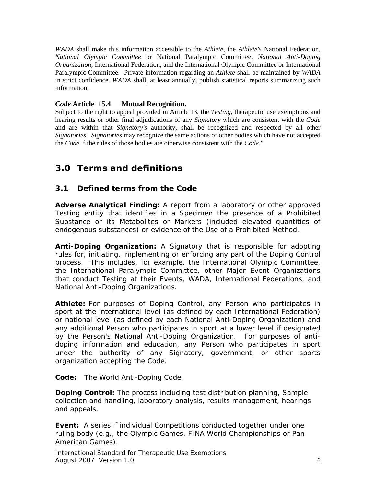<span id="page-5-0"></span>*WADA* shall make this information accessible to the *Athlete*, the *Athlete's* National Federation, *National Olympic Committee* or National Paralympic Committee, *National Anti-Doping Organization*, International Federation, and the International Olympic Committee or International Paralympic Committee. Private information regarding an *Athlete* shall be maintained by *WADA* in strict confidence. *WADA* shall, at least annually, publish statistical reports summarizing such information.

#### *Code* **Article 15.4 Mutual Recognition.**

Subject to the right to appeal provided in Article 13, the *Testing*, therapeutic use exemptions and hearing results or other final adjudications of any *Signatory* which are consistent with the *Code* and are within that *Signatory's* authority, shall be recognized and respected by all other *Signatories*. *Signatories* may recognize the same actions of other bodies which have not accepted the *Code* if the rules of those bodies are otherwise consistent with the *Code*."

# **3.0 Terms and definitions**

#### **3.1 Defined terms from the Code**

*Adverse Analytical Finding:* A report from a laboratory or other approved *Testing* entity that identifies in a *Specimen* the presence of a *Prohibited Substance* or its *Metabolites* or *Markers* (included elevated quantities of endogenous substances) or evidence of the *Use* of a *Prohibited Method*.

*Anti-Doping Organization:* A *Signatory* that is responsible for adopting rules for, initiating, implementing or enforcing any part of the *Doping Control* process. This includes, for example, the International Olympic Committee, the International Paralympic Committee, other *Major Event Organizations* that conduct *Testing* at their *Events*, *WADA*, International Federations, and *National Anti-Doping Organizations.*

*Athlete:* For purposes of *Doping Control*, any *Person* who participates in sport at the international level (as defined by each International Federation) or national level (as defined by each *National Anti-Doping Organization*) and any additional *Person* who participates in sport at a lower level if designated by the *Person*'s *National Anti-Doping Organization*. For purposes of antidoping information and education, any *Person* who participates in sport under the authority of any *Signatory*, government, or other sports organization accepting the *Code*.

*Code:* The World Anti-Doping Code*.*

*Doping Control:* The process including test distribution planning, *Sample*  collection and handling, laboratory analysis, results management, hearings and appeals.

**Event:** A series if individual Competitions conducted together under one ruling body (e.g., the Olympic Games, FINA World Championships or Pan American Games).

International Standard for Therapeutic Use Exemptions August 2007 Version 1.0 6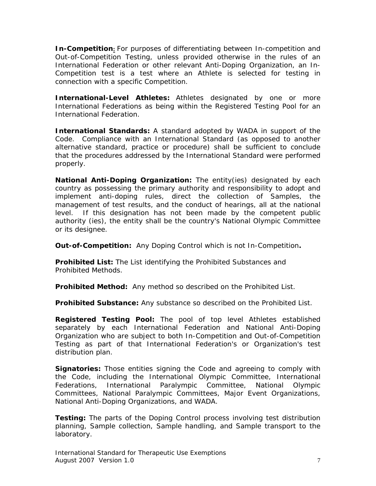*In-Competition***:** For purposes of differentiating between *In-competition* and *Out-of-Competition Testing*, unless provided otherwise in the rules of an International Federation or other relevant *Anti-Doping Organization*, an *In-Competition* test is a test where an *Athlete* is selected for *testing* in connection with a specific Competition.

*International-Level Athletes: Athletes* designated by one or more International Federations as being within the *Registered Testing Pool* for an International Federation.

*International Standards:* A standard adopted by *WADA* in support of the *Code*. Compliance with an *International Standard* (as opposed to another alternative standard, practice or procedure) shall be sufficient to conclude that the procedures addressed by the *International Standard* were performed properly.

*National Anti-Doping Organization:* The entity(ies) designated by each country as possessing the primary authority and responsibility to adopt and implement anti-doping rules, direct the collection of *Samples*, the management of test results, and the conduct of hearings, all at the national level. If this designation has not been made by the competent public authority (ies), the entity shall be the country's National Olympic Committee or its designee.

*Out-of-Competition:* Any *Doping Control* which is not *In-Competition***.**

*Prohibited List:* The List identifying the *Prohibited Substances* and *Prohibited Methods*.

*Prohibited Method:* Any method so described on the *Prohibited List*.

*Prohibited Substance:* Any substance so described on the *Prohibited List*.

*Registered Testing Pool:* The pool of top level *Athletes* established separately by each International Federation and *National Anti-Doping Organization* who are subject to both *In-Competition* and *Out-of-Competition* T*esting* as part of that International Federation's or Organization's test distribution plan.

*Signatories:* Those entities signing the *Code* and agreeing to comply with the *Code*, including the International Olympic Committee, International Federations, International Paralympic Committee, *National Olympic Committee*s, National Paralympic Committees, *Major Event Organizations*, *National Anti-Doping Organizations*, and *WADA*.

*Testing:* The parts of the *Doping Control* process involving test distribution planning, *Sample* collection, *Sample* handling, and *Sample* transport to the laboratory.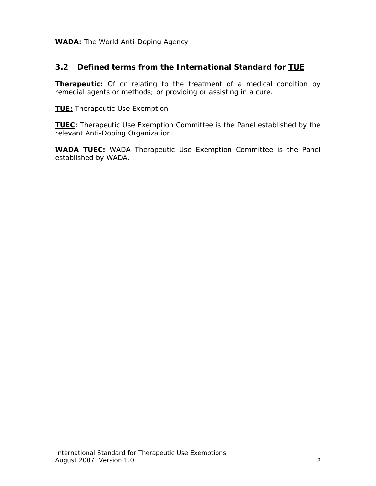<span id="page-7-0"></span>WADA: The World Anti-Doping Agency

#### **3.2 Defined terms from the** *International Standard* **for TUE**

**Therapeutic:** Of or relating to the treatment of a medical condition by remedial agents or methods; or providing or assisting in a cure.

**TUE:** Therapeutic Use Exemption

**TUEC:** Therapeutic Use Exemption Committee is the Panel established by the relevant *Anti-Doping Organization.* 

**WADA TUEC:** *WADA* Therapeutic Use Exemption Committee is the Panel established by *WADA*.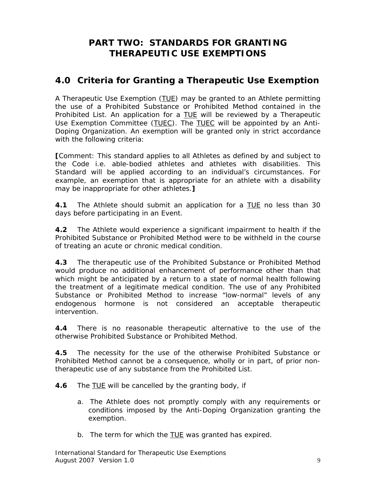# **PART TWO: STANDARDS FOR GRANTING THERAPEUTIC USE EXEMPTIONS**

# <span id="page-8-0"></span>**4.0 Criteria for Granting a Therapeutic Use Exemption**

A Therapeutic Use Exemption (TUE) may be granted to an *Athlete* permitting the use of a *Prohibited Substance* or *Prohibited Method* contained in the *Prohibited List*. An application for a TUE will be reviewed by a Therapeutic Use Exemption Committee (TUEC). The TUEC will be appointed by an *Anti-Doping Organization*. An exemption will be granted only in strict accordance with the following criteria:

*[Comment: This standard applies to all Athletes as defined by and subject to the Code i.e. able-bodied athletes and athletes with disabilities. This Standard will be applied according to an individual's circumstances. For example, an exemption that is appropriate for an athlete with a disability may be inappropriate for other athletes.]* 

**4.1** The *Athlete* should submit an application for a TUE no less than 30 days before participating in an *Event*.

**4.2** The *Athlete* would experience a significant impairment to health if the *Prohibited Substance* or *Prohibited Method* were to be withheld in the course of treating an acute or chronic medical condition.

**4.3** The therapeutic use of the *Prohibited Substance* or *Prohibited Method* would produce no additional enhancement of performance other than that which might be anticipated by a return to a state of normal health following the treatment of a legitimate medical condition. The use of any *Prohibited Substance* or *Prohibited Method* to increase "low-normal" levels of any endogenous hormone is not considered an acceptable therapeutic intervention.

**4.4** There is no reasonable therapeutic alternative to the use of the otherwise *Prohibited Substance* or *Prohibited Method*.

**4.5** The necessity for the use of the otherwise *Prohibited Substance* or *Prohibited Method* cannot be a consequence, wholly or in part, of prior nontherapeutic use of any substance from the *Prohibited List*.

**4.6** The TUE will be cancelled by the granting body, if

- a. The A*thlete* does not promptly comply with any requirements or conditions imposed by the *Anti-Doping Organization* granting the exemption.
- b. The term for which the **TUE** was granted has expired.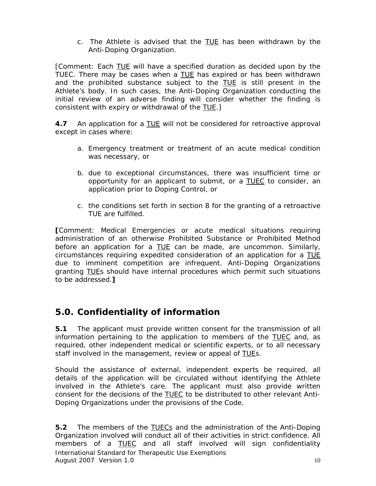c. The A*thlete* is advised that the TUE has been withdrawn by the *Anti-Doping Organization*.

<span id="page-9-0"></span>*[Comment: Each TUE will have a specified duration as decided upon by the TUEC. There may be cases when a TUE has expired or has been withdrawn and the prohibited substance subject to the TUE is still present in the Athlete's body. In such cases, the Anti-Doping Organization conducting the initial review of an adverse finding will consider whether the finding is consistent with expiry or withdrawal of the TUE.]* 

**4.7** An application for a TUE will not be considered for retroactive approval except in cases where:

- a. Emergency treatment or treatment of an acute medical condition was necessary, or
- b. due to exceptional circumstances, there was insufficient time or opportunity for an applicant to submit, or a TUEC to consider, an application prior to *Doping Control*, or
- c. the conditions set forth in section 8 for the granting of a retroactive TUE are fulfilled.

*[Comment: Medical Emergencies or acute medical situations requiring administration of an otherwise Prohibited Substance or Prohibited Method before an application for a* TUE *can be made, are uncommon. Similarly, circumstances requiring expedited consideration of an application for a TUE due to imminent competition are infrequent. Anti-Doping Organizations granting* TUE*s should have internal procedures which permit such situations to be addressed.]*

# **5.0. Confidentiality of information**

**5.1** The applicant must provide written consent for the transmission of all information pertaining to the application to members of the TUEC and, as required, other independent medical or scientific experts, or to all necessary staff involved in the management, review or appeal of TUEs.

Should the assistance of external, independent experts be required, all details of the application will be circulated without identifying the *Athlete* involved in the *Athlete*'s care. The applicant must also provide written consent for the decisions of the TUEC to be distributed to other relevant *Anti-Doping Organizations* under the provisions of the *Code*.

International Standard for Therapeutic Use Exemptions August 2007 Version 1.0 10 **5.2** The members of the TUECs and the administration of the *Anti-Doping Organization* involved will conduct all of their activities in strict confidence. All members of a TUEC and all staff involved will sign confidentiality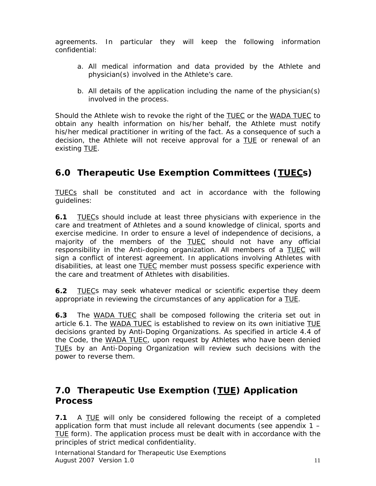<span id="page-10-0"></span>agreements. In particular they will keep the following information confidential:

- a. All medical information and data provided by the *Athlete* and physician(s) involved in the *Athlete*'s care.
- b. All details of the application including the name of the physician(s) involved in the process.

Should the *Athlete* wish to revoke the right of the TUEC or the *WADA* TUEC to obtain any health information on his/her behalf, the *Athlete* must notify his/her medical practitioner in writing of the fact. As a consequence of such a decision, the *Athlete* will not receive approval for a TUE or renewal of an existing TUE.

# **6.0 Therapeutic Use Exemption Committees (TUECs)**

TUECs shall be constituted and act in accordance with the following guidelines:

**6.1** TUECs should include at least three physicians with experience in the care and treatment of *Athlete*s and a sound knowledge of clinical, sports and exercise medicine. In order to ensure a level of independence of decisions, a majority of the members of the **TUEC** should not have any official responsibility in the *Anti-doping organization*. All members of a TUEC will sign a conflict of interest agreement. In applications involving *Athlete*s with disabilities, at least one TUEC member must possess specific experience with the care and treatment of *Athlete*s with disabilities.

**6.2** TUECs may seek whatever medical or scientific expertise they deem appropriate in reviewing the circumstances of any application for a TUE.

**6.3** The *WADA* TUEC shall be composed following the criteria set out in article 6.1. The *WADA* TUEC is established to review on its own initiative TUE decisions granted by *Anti-Doping Organizations*. As specified in article 4.4 of the *Code,* the *WADA* TUEC, upon request by *Athletes* who have been denied TUEs by an *Anti-Doping Organization* will review such decisions with the power to reverse them.

# **7.0 Therapeutic Use Exemption (TUE) Application Process**

**7.1** A TUE will only be considered following the receipt of a completed application form that must include all relevant documents (see appendix 1 – TUE form). The application process must be dealt with in accordance with the principles of strict medical confidentiality.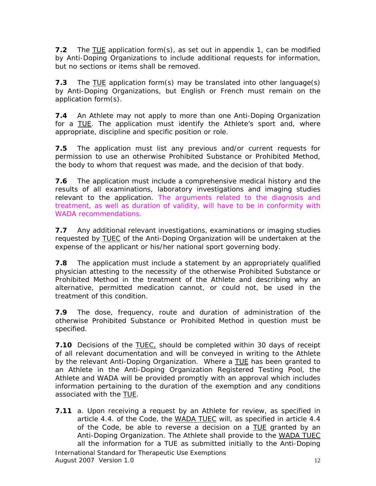**7.2** The TUE application form(s), as set out in appendix 1, can be modified by *Anti-Doping Organizations* to include additional requests for information, but no sections or items shall be removed.

**7.3** The TUE application form(s) may be translated into other language(s) by *Anti-Doping Organizations*, but English or French must remain on the application form(s).

**7.4** An *Athlete* may not apply to more than one *Anti-Doping Organization* for a TUE. The application must identify the *Athlete*'s sport and, where appropriate, discipline and specific position or role.

**7.5** The application must list any previous and/or current requests for permission to use an otherwise *Prohibited Substance* or *Prohibited Method*, the body to whom that request was made, and the decision of that body.

**7.6** The application must include a comprehensive medical history and the results of all examinations, laboratory investigations and imaging studies relevant to the application. The arguments related to the diagnosis and treatment, as well as duration of validity, will have to be in conformity with WADA recommendations.

**7.7** Any additional relevant investigations, examinations or imaging studies requested by TUEC of the *Anti-Doping Organization* will be undertaken at the expense of the applicant or his/her national sport governing body.

**7.8** The application must include a statement by an appropriately qualified physician attesting to the necessity of the otherwise *Prohibited Substance* or *Prohibited Method* in the treatment of the *Athlete* and describing why an alternative, permitted medication cannot, or could not, be used in the treatment of this condition.

**7.9** The dose, frequency, route and duration of administration of the otherwise *Prohibited Substance* or *Prohibited Method* in question must be specified.

**7.10** Decisions of the **TUEC**, should be completed within 30 days of receipt of all relevant documentation and will be conveyed in writing to the *Athlete* by the relevant *Anti-Doping Organization*. Where a TUE has been granted to an *Athlete* in the *Anti-Doping Organization Registered Testing Pool*, the *Athlete* and *WADA* will be provided promptly with an approval which includes information pertaining to the duration of the exemption and any conditions associated with the TUE.

**7.11** a. Upon receiving a request by an *Athlete* for review, as specified in article 4.4. of the Code, the *WADA* TUEC will, as specified in article 4.4 of the *Code,* be able to reverse a decision on a TUE granted by an *Anti-Doping Organization*. The *Athlete* shall provide to the *WADA* TUEC all the information for a *TUE* as submitted initially to the *Anti-Doping*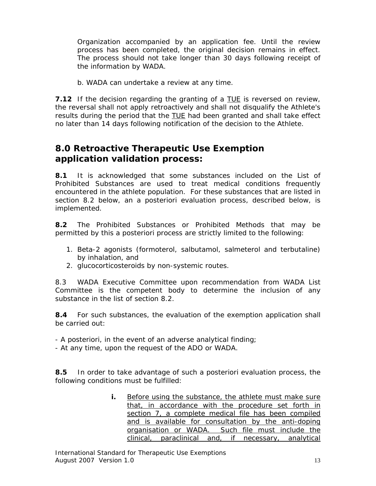<span id="page-12-0"></span>*Organization* accompanied by an application fee. Until the review process has been completed, the original decision remains in effect. The process should not take longer than 30 days following receipt of the information by *WADA*.

b. *WADA* can undertake a review at any time.

**7.12** If the decision regarding the granting of a TUE is reversed on review, the reversal shall not apply retroactively and shall not disqualify the *Athlete*'s results during the period that the TUE had been granted and shall take effect no later than 14 days following notification of the decision to the *Athlete*.

# **8.0 Retroactive Therapeutic Use Exemption application validation process:**

**8.1** It is acknowledged that some substances included on the *List of Prohibited Substances* are used to treat medical conditions frequently encountered in the athlete population. For these substances that are listed in section 8.2 below, an a posteriori evaluation process, described below, is implemented.

**8.2** The *Prohibited Substances or Prohibited Methods* that may be permitted by this a posteriori process are strictly limited to the following:

- 1. Beta-2 agonists (formoterol, salbutamol, salmeterol and terbutaline) by inhalation, and
- 2. glucocorticosteroids by non-systemic routes.

8.3 WADA Executive Committee upon recommendation from WADA List Committee is the competent body to determine the inclusion of any substance in the list of section 8.2.

**8.4** For such substances, the evaluation of the exemption application shall be carried out:

- A posteriori, in the event of an adverse analytical finding;

- At any time, upon the request of the ADO or WADA.

**8.5** In order to take advantage of such a posteriori evaluation process, the following conditions must be fulfilled:

> **i.** Before using the substance, the athlete must make sure that, in accordance with the procedure set forth in section 7, a complete medical file has been compiled and is available for consultation by the anti-doping organisation or WADA. Such file must include the clinical, paraclinical and, if necessary, analytical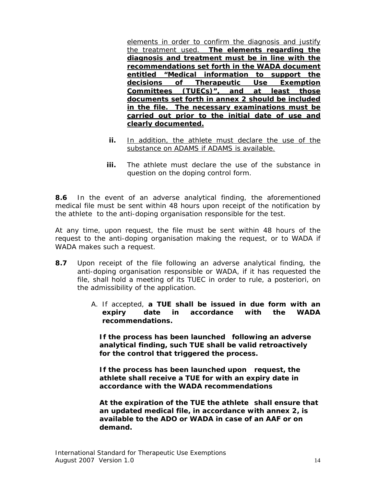elements in order to confirm the diagnosis and justify the treatment used. **The elements regarding the diagnosis and treatment must be in line with the recommendations set forth in the WADA document entitled "Medical information to support the decisions of Therapeutic Use Exemption Committees (TUECs)", and at least those documents set forth in annex 2 should be included in the file. The necessary examinations must be carried out prior to the initial date of use and clearly documented.**

- **ii.** In addition, the athlete must declare the use of the substance on ADAMS if ADAMS is available.
- **iii.** The athlete must declare the use of the substance in question on the doping control form.

**8.6** In the event of an adverse analytical finding, the aforementioned medical file must be sent within 48 hours upon receipt of the notification by the athlete to the anti-doping organisation responsible for the test.

At any time, upon request, the file must be sent within 48 hours of the request to the anti-doping organisation making the request, or to WADA if WADA makes such a request.

- **8.7** Upon receipt of the file following an adverse analytical finding, the anti-doping organisation responsible or WADA, if it has requested the file, shall hold a meeting of its TUEC in order to rule, a posteriori, on the admissibility of the application.
	- A. If accepted, **a TUE shall be issued in due form with an expiry date in accordance with the WADA recommendations.**

 **If the process has been launched following an adverse analytical finding, such TUE shall be valid retroactively for the control that triggered the process.**

 **If the process has been launched upon request, the athlete shall receive a TUE for with an expiry date in accordance with the WADA recommendations**

 **At the expiration of the TUE the athlete shall ensure that an updated medical file, in accordance with annex 2, is available to the ADO or WADA in case of an AAF or on demand.**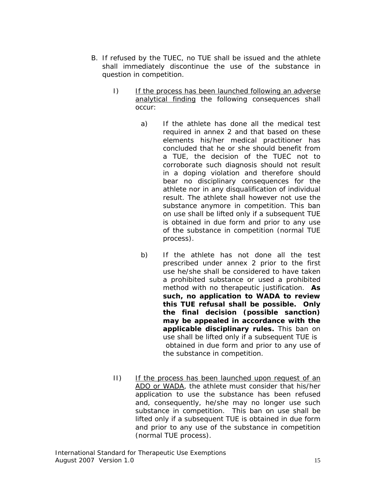- B. If refused by the TUEC, no TUE shall be issued and the athlete shall immediately discontinue the use of the substance in question in competition.
	- I) If the process has been launched following an adverse analytical finding the following consequences shall occur:
		- a) If the athlete has done all the medical test required in annex 2 and that based on these elements his/her medical practitioner has concluded that he or she should benefit from a TUE, the decision of the TUEC not to corroborate such diagnosis should not result in a doping violation and therefore should bear no disciplinary consequences for the athlete nor in any disqualification of individual result. The athlete shall however not use the substance anymore in competition. This ban on use shall be lifted only if a subsequent TUE is obtained in due form and prior to any use of the substance in competition (normal TUE process).
		- b) If the athlete has not done all the test prescribed under annex 2 prior to the first use he/she shall be considered to have taken a prohibited substance or used a prohibited method with no therapeutic justification. **As such, no application to WADA to review this TUE refusal shall be possible. Only the final decision (possible sanction) may be appealed in accordance with the applicable disciplinary rules.** This ban on use shall be lifted only if a subsequent TUE is obtained in due form and prior to any use of the substance in competition.
	- II) If the process has been launched upon request of an ADO or WADA, the athlete must consider that his/her application to use the substance has been refused and, consequently, he/she may no longer use such substance in competition. This ban on use shall be lifted only if a subsequent TUE is obtained in due form and prior to any use of the substance in competition (normal TUE process).